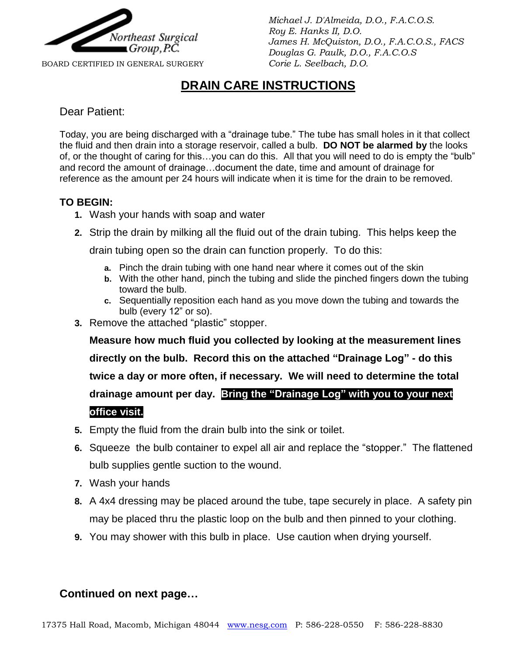

*Michael J. D'Almeida, D.O., F.A.C.O.S. Roy E. Hanks II, D.O. James H. McQuiston, D.O., F.A.C.O.S., FACS Douglas G. Paulk, D.O., F.A.C.O.S*

#### BOARD CERTIFIED IN GENERAL SURGERY *Corie L. Seelbach, D.O.*

## **DRAIN CARE INSTRUCTIONS**

#### Dear Patient:

Today, you are being discharged with a "drainage tube." The tube has small holes in it that collect the fluid and then drain into a storage reservoir, called a bulb. **DO NOT be alarmed by** the looks of, or the thought of caring for this…you can do this. All that you will need to do is empty the "bulb" and record the amount of drainage…document the date, time and amount of drainage for reference as the amount per 24 hours will indicate when it is time for the drain to be removed.

#### **TO BEGIN:**

- **1.** Wash your hands with soap and water
- **2.** Strip the drain by milking all the fluid out of the drain tubing. This helps keep the

drain tubing open so the drain can function properly. To do this:

- **a.** Pinch the drain tubing with one hand near where it comes out of the skin
- **b.** With the other hand, pinch the tubing and slide the pinched fingers down the tubing toward the bulb.
- **c.** Sequentially reposition each hand as you move down the tubing and towards the bulb (every 12" or so).
- **3.** Remove the attached "plastic" stopper.

**4. Measure how much fluid you collected by looking at the measurement lines directly on the bulb. Record this on the attached "Drainage Log" - do this twice a day or more often, if necessary. We will need to determine the total drainage amount per day. Bring the "Drainage Log" with you to your next office visit.**

- **5.** Empty the fluid from the drain bulb into the sink or toilet.
- **6.** Squeeze the bulb container to expel all air and replace the "stopper." The flattened bulb supplies gentle suction to the wound.
- **7.** Wash your hands
- **8.** A 4x4 dressing may be placed around the tube, tape securely in place. A safety pin may be placed thru the plastic loop on the bulb and then pinned to your clothing.
- **9.** You may shower with this bulb in place. Use caution when drying yourself.

#### **Continued on next page…**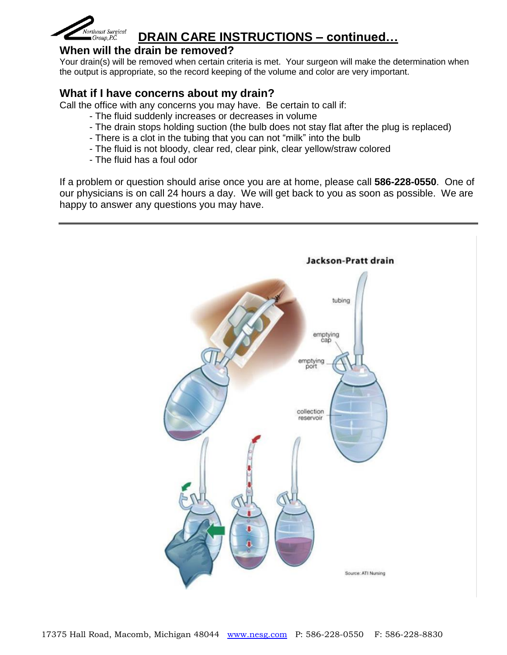

# **DRAIN CARE INSTRUCTIONS – continued…**

#### **When will the drain be removed?**

Your drain(s) will be removed when certain criteria is met. Your surgeon will make the determination when the output is appropriate, so the record keeping of the volume and color are very important.

### **What if I have concerns about my drain?**

Call the office with any concerns you may have. Be certain to call if:

- The fluid suddenly increases or decreases in volume
- The drain stops holding suction (the bulb does not stay flat after the plug is replaced)
- There is a clot in the tubing that you can not "milk" into the bulb
- The fluid is not bloody, clear red, clear pink, clear yellow/straw colored
- The fluid has a foul odor

If a problem or question should arise once you are at home, please call **586-228-0550**. One of our physicians is on call 24 hours a day. We will get back to you as soon as possible. We are happy to answer any questions you may have.